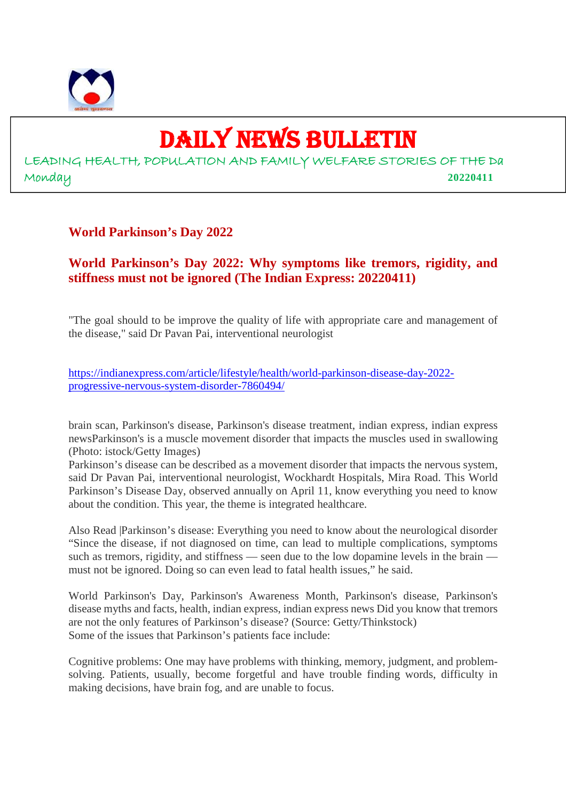

## DAILY NEWS BULLETIN

LEADING HEALTH, POPULATION AND FAMILY WELFARE STORIES OF THE Da Monday **20220411**

## **World Parkinson's Day 2022**

## **World Parkinson's Day 2022: Why symptoms like tremors, rigidity, and stiffness must not be ignored (The Indian Express: 20220411)**

"The goal should to be improve the quality of life with appropriate care and management of the disease," said Dr Pavan Pai, interventional neurologist

https://indianexpress.com/article/lifestyle/health/world-parkinson-disease-day-2022 progressive-nervous-system-disorder-7860494/

brain scan, Parkinson's disease, Parkinson's disease treatment, indian express, indian express newsParkinson's is a muscle movement disorder that impacts the muscles used in swallowing (Photo: istock/Getty Images)

Parkinson's disease can be described as a movement disorder that impacts the nervous system, said Dr Pavan Pai, interventional neurologist, Wockhardt Hospitals, Mira Road. This World Parkinson's Disease Day, observed annually on April 11, know everything you need to know about the condition. This year, the theme is integrated healthcare.

Also Read |Parkinson's disease: Everything you need to know about the neurological disorder "Since the disease, if not diagnosed on time, can lead to multiple complications, symptoms such as tremors, rigidity, and stiffness — seen due to the low dopamine levels in the brain must not be ignored. Doing so can even lead to fatal health issues," he said.

World Parkinson's Day, Parkinson's Awareness Month, Parkinson's disease, Parkinson's disease myths and facts, health, indian express, indian express news Did you know that tremors are not the only features of Parkinson's disease? (Source: Getty/Thinkstock) Some of the issues that Parkinson's patients face include:

Cognitive problems: One may have problems with thinking, memory, judgment, and problemsolving. Patients, usually, become forgetful and have trouble finding words, difficulty in making decisions, have brain fog, and are unable to focus.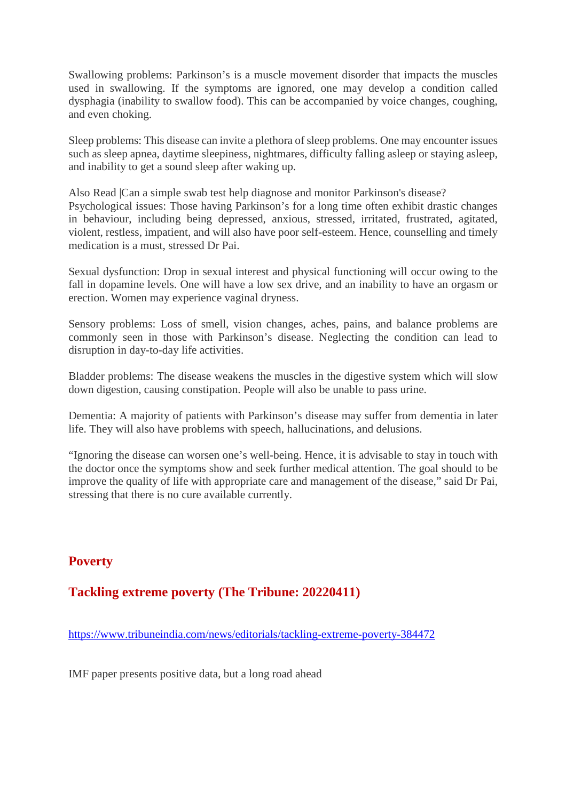Swallowing problems: Parkinson's is a muscle movement disorder that impacts the muscles used in swallowing. If the symptoms are ignored, one may develop a condition called dysphagia (inability to swallow food). This can be accompanied by voice changes, coughing, and even choking.

Sleep problems: This disease can invite a plethora of sleep problems. One may encounter issues such as sleep apnea, daytime sleepiness, nightmares, difficulty falling asleep or staying asleep, and inability to get a sound sleep after waking up.

Also Read |Can a simple swab test help diagnose and monitor Parkinson's disease? Psychological issues: Those having Parkinson's for a long time often exhibit drastic changes in behaviour, including being depressed, anxious, stressed, irritated, frustrated, agitated, violent, restless, impatient, and will also have poor self-esteem. Hence, counselling and timely medication is a must, stressed Dr Pai.

Sexual dysfunction: Drop in sexual interest and physical functioning will occur owing to the fall in dopamine levels. One will have a low sex drive, and an inability to have an orgasm or erection. Women may experience vaginal dryness.

Sensory problems: Loss of smell, vision changes, aches, pains, and balance problems are commonly seen in those with Parkinson's disease. Neglecting the condition can lead to disruption in day-to-day life activities.

Bladder problems: The disease weakens the muscles in the digestive system which will slow down digestion, causing constipation. People will also be unable to pass urine.

Dementia: A majority of patients with Parkinson's disease may suffer from dementia in later life. They will also have problems with speech, hallucinations, and delusions.

"Ignoring the disease can worsen one's well-being. Hence, it is advisable to stay in touch with the doctor once the symptoms show and seek further medical attention. The goal should to be improve the quality of life with appropriate care and management of the disease," said Dr Pai, stressing that there is no cure available currently.

## **Poverty**

## **Tackling extreme poverty (The Tribune: 20220411)**

https://www.tribuneindia.com/news/editorials/tackling-extreme-poverty-384472

IMF paper presents positive data, but a long road ahead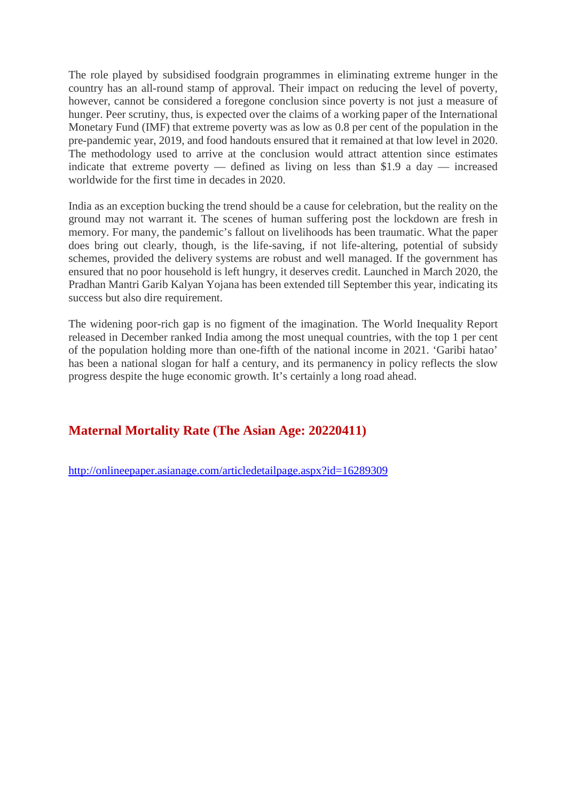The role played by subsidised foodgrain programmes in eliminating extreme hunger in the country has an all-round stamp of approval. Their impact on reducing the level of poverty, however, cannot be considered a foregone conclusion since poverty is not just a measure of hunger. Peer scrutiny, thus, is expected over the claims of a working paper of the International Monetary Fund (IMF) that extreme poverty was as low as 0.8 per cent of the population in the pre-pandemic year, 2019, and food handouts ensured that it remained at that low level in 2020. The methodology used to arrive at the conclusion would attract attention since estimates indicate that extreme poverty — defined as living on less than \$1.9 a day — increased worldwide for the first time in decades in 2020.

India as an exception bucking the trend should be a cause for celebration, but the reality on the ground may not warrant it. The scenes of human suffering post the lockdown are fresh in memory. For many, the pandemic's fallout on livelihoods has been traumatic. What the paper does bring out clearly, though, is the life-saving, if not life-altering, potential of subsidy schemes, provided the delivery systems are robust and well managed. If the government has ensured that no poor household is left hungry, it deserves credit. Launched in March 2020, the Pradhan Mantri Garib Kalyan Yojana has been extended till September this year, indicating its success but also dire requirement.

The widening poor-rich gap is no figment of the imagination. The World Inequality Report released in December ranked India among the most unequal countries, with the top 1 per cent of the population holding more than one-fifth of the national income in 2021. 'Garibi hatao' has been a national slogan for half a century, and its permanency in policy reflects the slow progress despite the huge economic growth. It's certainly a long road ahead.

## **Maternal Mortality Rate (The Asian Age: 20220411)**

http://onlineepaper.asianage.com/articledetailpage.aspx?id=16289309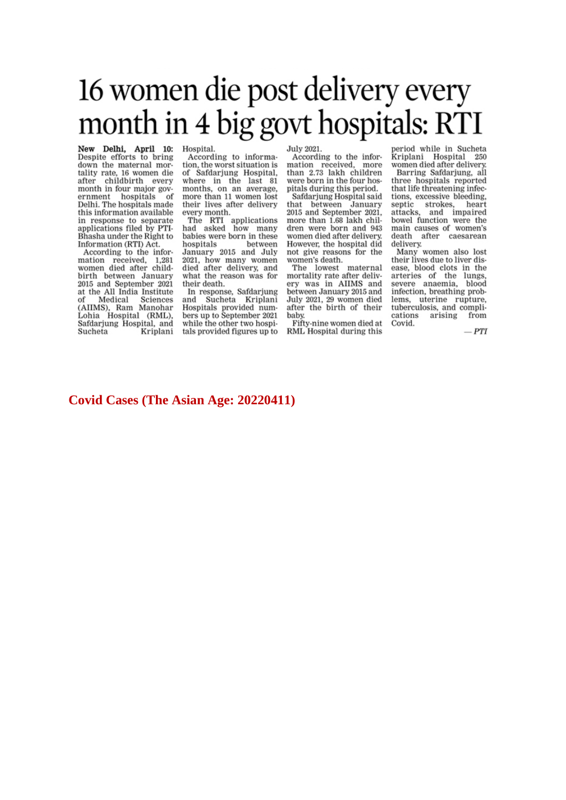# 16 women die post delivery every month in 4 big govt hospitals: RTI

New Delhi, April 10: Despite efforts to bring down the maternal mortality rate, 16 women die<br>after childbirth every month in four major government hospitals of Delhi. The hospitals made this information available in response to separate<br>applications filed by PTI-Bhasha under the Right to Information (RTI) Act.

According to the information received, 1,281<br>women died after childbirth between January 2015 and September 2021 at the All India Institute of Medical Sciences<br>(AIIMS), Ram Manohar Lohia Hospital (RML), Safdarjung Hospital, and Sucheta Kriplani Hospital.

According to information, the worst situation is of Safdarjung Hospital, where in the last 81 months, on an average, more than 11 women lost their lives after delivery every month.

The RTI applications<br>had asked how many babies were born in these hospitals between<br>January 2015 and July 2012), how many women<br>died after delivery, and<br>what the reason was for their death.

In response, Safdarjung and Sucheta Kriplani and Sucheta Kriptani<br>Hospitals provided numbers up to September 2021 while the other two hospitals provided figures up to July 2021.

According to the information received, more than 2.73 lakh children were born in the four hospitals during this period.

Safdarjung Hospital said that between January 2015 and September 2021. more than 1.68 lakh children were born and 943 women died after delivery. However, the hospital did not give reasons for the women's death.

The lowest maternal mortality rate after delivery was in AIIMS and between January 2015 and July 2021, 29 women died<br>after the birth of their baby.

Fifty-nine women died at RML Hospital during this

period while in Sucheta Kriplani Hospital 250 women died after delivery.

Barring Safdarjung, all three hospitals reported that life threatening infections, excessive bleeding, septic strokes, heart attacks, and impaired bowel function were the<br>main causes of women's death after caesarean delivery.

Many women also lost<br>their lives due to liver disease, blood clots in the<br>arteries of the lungs, severe anaemia, blood infection, breathing problems, uterine rupture, tuberculosis, and complications arising from Covid

 $-PTI$ 

#### **Covid Cases (The Asian Age: 20220411)**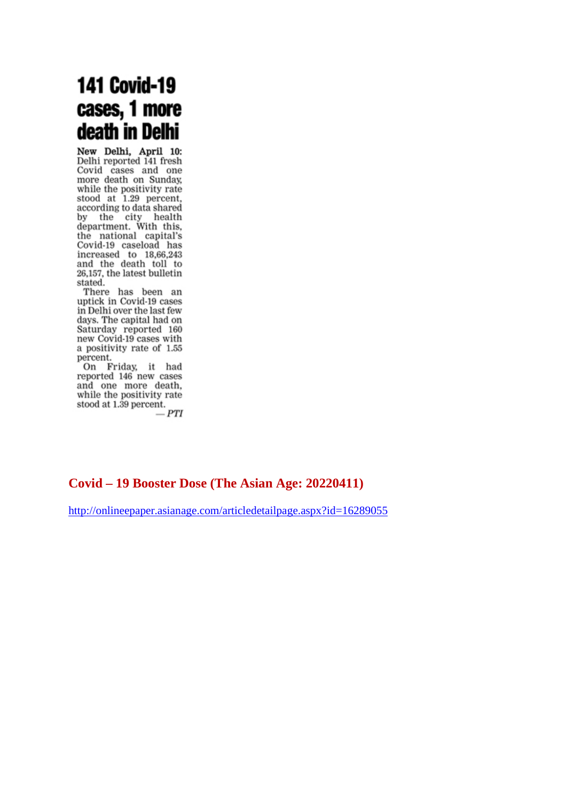## **141 Covid-19** cases, 1 more death in Delhi

New Delhi, April 10: Delhi reported 141 fresh Covid cases and one more death on Sunday, while the positivity rate stood at 1.29 percent, according to data shared<br>by the city health<br>department. With this, the national capital's Covid-19 caseload has<br>increased to 18,66,243<br>and the death toll to 26,157, the latest bulletin stated.

There has been an uptick in Covid-19 cases in Delhi over the last few days. The capital had on Saturday reported 160<br>new Covid-19 cases with a positivity rate of 1.55 percent.

On Friday, it had reported 146 new cases and one more death, while the positivity rate stood at 1.39 percent.

 $-PTI$ 

## **Covid – 19 Booster Dose (The Asian Age: 20220411)**

http://onlineepaper.asianage.com/articledetailpage.aspx?id=16289055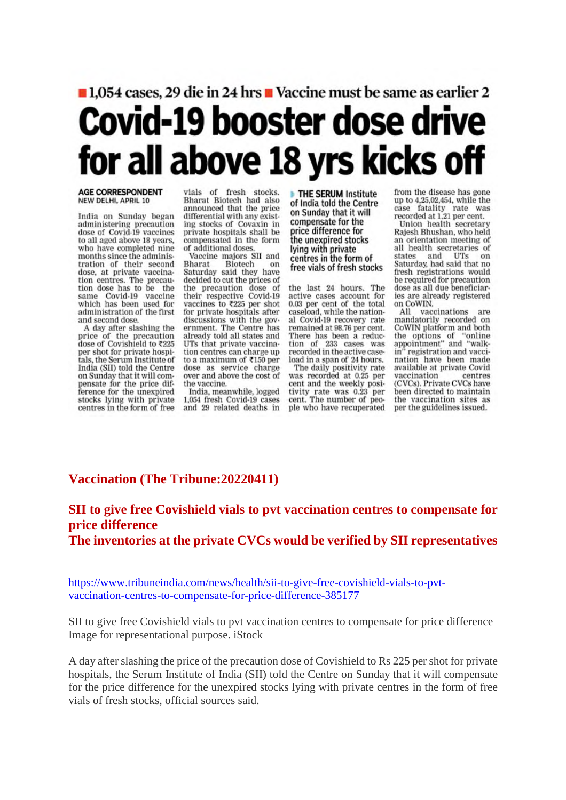## ■ 1,054 cases, 29 die in 24 hrs ■ Vaccine must be same as earlier 2 Covid-19 booster dose drive for all above 18 yrs kicks off

#### **AGE CORRESPONDENT** NEW DELHI, APRIL 10

India on Sunday began administering precaution dose of Covid-19 vaccines to all aged above 18 years, who have completed nine months since the administration of their second dose, at private vaccination centres. The precaution dose has to be the same Covid-19 vaccine which has been used for administration of the first and second dose.

A day after slashing the price of the precaution dose of Covishield to ₹225 per shot for private hospitals, the Serum Institute of India (SII) told the Centre on Sunday that it will compensate for the price difference for the unexpired stocks lying with private centres in the form of free vials of fresh stocks. Bharat Biotech had also announced that the price differential with any existing stocks of Covaxin in private hospitals shall be compensated in the form of additional doses.

Vaccine majors SII and Bharat Biotech on Saturday said they have decided to cut the prices of the precaution dose of<br>their respective Covid-19 vaccines to ₹225 per shot for private hospitals after discussions with the government. The Centre has already told all states and UTs that private vaccination centres can charge up to a maximum of ₹150 per dose as service charge over and above the cost of the vaccine.

India, meanwhile, logged 1,054 fresh Covid-19 cases and 29 related deaths in

**THE SERUM Institute** of India told the Centre on Sunday that it will compensate for the price difference for the unexpired stocks lying with private centres in the form of free vials of fresh stocks

the last 24 hours. The active cases account for 0.03 per cent of the total caseload, while the national Covid-19 recovery rate remained at 98.76 per cent. There has been a reduction of 233 cases was recorded in the active caseload in a span of 24 hours.

The daily positivity rate was recorded at 0.25 per cent and the weekly positivity rate was 0.23 per cent. The number of people who have recuperated from the disease has gone up to 4,25,02,454, while the case fatality rate was recorded at 1.21 per cent.

Union health secretary Rajesh Bhushan, who held an orientation meeting of all health secretaries of states and UTs on Saturday, had said that no fresh registrations would be required for precaution dose as all due beneficiaries are already registered on CoWIN.

All vaccinations are mandatorily recorded on CoWIN platform and both the options of "online<br>appointment" and "walkin' registration and vaccination have been made available at private Covid vaccination centres (CVCs). Private CVCs have been directed to maintain the vaccination sites as per the guidelines issued.

## **Vaccination (The Tribune:20220411)**

## **SII to give free Covishield vials to pvt vaccination centres to compensate for price difference The inventories at the private CVCs would be verified by SII representatives**

https://www.tribuneindia.com/news/health/sii-to-give-free-covishield-vials-to-pvtvaccination-centres-to-compensate-for-price-difference-385177

SII to give free Covishield vials to pvt vaccination centres to compensate for price difference Image for representational purpose. iStock

A day after slashing the price of the precaution dose of Covishield to Rs 225 per shot for private hospitals, the Serum Institute of India (SII) told the Centre on Sunday that it will compensate for the price difference for the unexpired stocks lying with private centres in the form of free vials of fresh stocks, official sources said.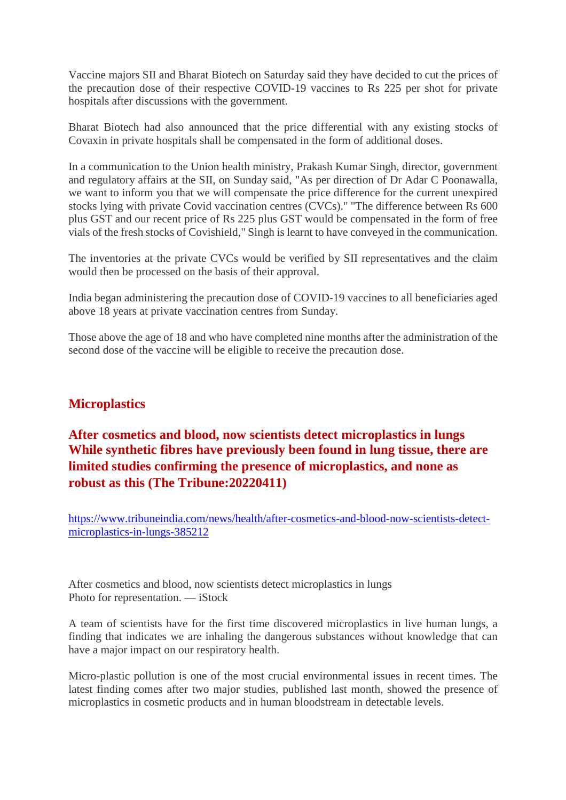Vaccine majors SII and Bharat Biotech on Saturday said they have decided to cut the prices of the precaution dose of their respective COVID-19 vaccines to Rs 225 per shot for private hospitals after discussions with the government.

Bharat Biotech had also announced that the price differential with any existing stocks of Covaxin in private hospitals shall be compensated in the form of additional doses.

In a communication to the Union health ministry, Prakash Kumar Singh, director, government and regulatory affairs at the SII, on Sunday said, "As per direction of Dr Adar C Poonawalla, we want to inform you that we will compensate the price difference for the current unexpired stocks lying with private Covid vaccination centres (CVCs)." "The difference between Rs 600 plus GST and our recent price of Rs 225 plus GST would be compensated in the form of free vials of the fresh stocks of Covishield," Singh is learnt to have conveyed in the communication.

The inventories at the private CVCs would be verified by SII representatives and the claim would then be processed on the basis of their approval.

India began administering the precaution dose of COVID-19 vaccines to all beneficiaries aged above 18 years at private vaccination centres from Sunday.

Those above the age of 18 and who have completed nine months after the administration of the second dose of the vaccine will be eligible to receive the precaution dose.

## **Microplastics**

## **After cosmetics and blood, now scientists detect microplastics in lungs While synthetic fibres have previously been found in lung tissue, there are limited studies confirming the presence of microplastics, and none as robust as this (The Tribune:20220411)**

https://www.tribuneindia.com/news/health/after-cosmetics-and-blood-now-scientists-detectmicroplastics-in-lungs-385212

After cosmetics and blood, now scientists detect microplastics in lungs Photo for representation. — iStock

A team of scientists have for the first time discovered microplastics in live human lungs, a finding that indicates we are inhaling the dangerous substances without knowledge that can have a major impact on our respiratory health.

Micro-plastic pollution is one of the most crucial environmental issues in recent times. The latest finding comes after two major studies, published last month, showed the presence of microplastics in cosmetic products and in human bloodstream in detectable levels.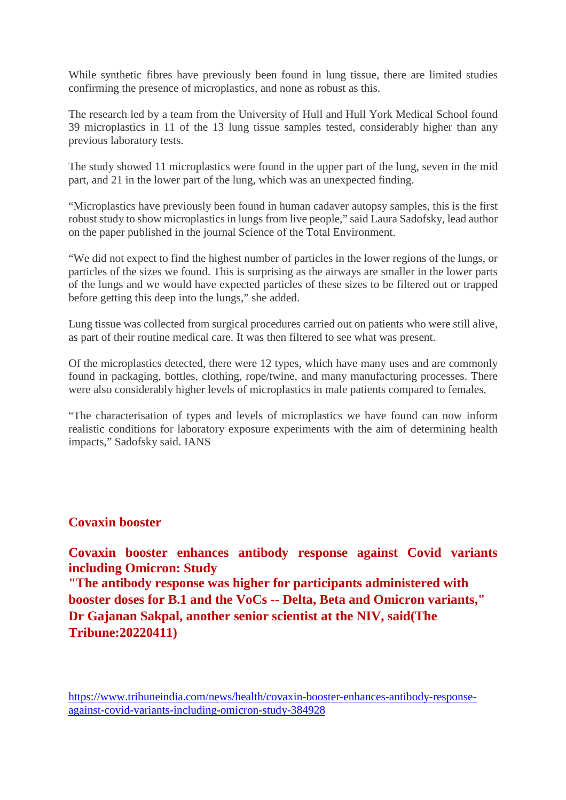While synthetic fibres have previously been found in lung tissue, there are limited studies confirming the presence of microplastics, and none as robust as this.

The research led by a team from the University of Hull and Hull York Medical School found 39 microplastics in 11 of the 13 lung tissue samples tested, considerably higher than any previous laboratory tests.

The study showed 11 microplastics were found in the upper part of the lung, seven in the mid part, and 21 in the lower part of the lung, which was an unexpected finding.

"Microplastics have previously been found in human cadaver autopsy samples, this is the first robust study to show microplastics in lungs from live people," said Laura Sadofsky, lead author on the paper published in the journal Science of the Total Environment.

"We did not expect to find the highest number of particles in the lower regions of the lungs, or particles of the sizes we found. This is surprising as the airways are smaller in the lower parts of the lungs and we would have expected particles of these sizes to be filtered out or trapped before getting this deep into the lungs," she added.

Lung tissue was collected from surgical procedures carried out on patients who were still alive, as part of their routine medical care. It was then filtered to see what was present.

Of the microplastics detected, there were 12 types, which have many uses and are commonly found in packaging, bottles, clothing, rope/twine, and many manufacturing processes. There were also considerably higher levels of microplastics in male patients compared to females.

"The characterisation of types and levels of microplastics we have found can now inform realistic conditions for laboratory exposure experiments with the aim of determining health impacts," Sadofsky said. IANS

## **Covaxin booster**

**Covaxin booster enhances antibody response against Covid variants including Omicron: Study**

**"The antibody response was higher for participants administered with booster doses for B.1 and the VoCs -- Delta, Beta and Omicron variants," Dr Gajanan Sakpal, another senior scientist at the NIV, said(The Tribune:20220411)**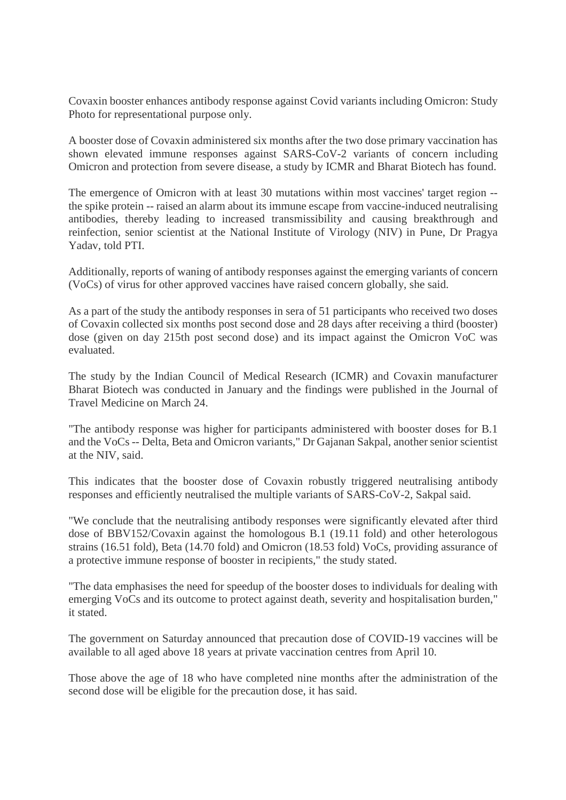Covaxin booster enhances antibody response against Covid variants including Omicron: Study Photo for representational purpose only.

A booster dose of Covaxin administered six months after the two dose primary vaccination has shown elevated immune responses against SARS-CoV-2 variants of concern including Omicron and protection from severe disease, a study by ICMR and Bharat Biotech has found.

The emergence of Omicron with at least 30 mutations within most vaccines' target region - the spike protein -- raised an alarm about its immune escape from vaccine-induced neutralising antibodies, thereby leading to increased transmissibility and causing breakthrough and reinfection, senior scientist at the National Institute of Virology (NIV) in Pune, Dr Pragya Yadav, told PTI.

Additionally, reports of waning of antibody responses against the emerging variants of concern (VoCs) of virus for other approved vaccines have raised concern globally, she said.

As a part of the study the antibody responses in sera of 51 participants who received two doses of Covaxin collected six months post second dose and 28 days after receiving a third (booster) dose (given on day 215th post second dose) and its impact against the Omicron VoC was evaluated.

The study by the Indian Council of Medical Research (ICMR) and Covaxin manufacturer Bharat Biotech was conducted in January and the findings were published in the Journal of Travel Medicine on March 24.

"The antibody response was higher for participants administered with booster doses for B.1 and the VoCs -- Delta, Beta and Omicron variants," Dr Gajanan Sakpal, another senior scientist at the NIV, said.

This indicates that the booster dose of Covaxin robustly triggered neutralising antibody responses and efficiently neutralised the multiple variants of SARS-CoV-2, Sakpal said.

"We conclude that the neutralising antibody responses were significantly elevated after third dose of BBV152/Covaxin against the homologous B.1 (19.11 fold) and other heterologous strains (16.51 fold), Beta (14.70 fold) and Omicron (18.53 fold) VoCs, providing assurance of a protective immune response of booster in recipients," the study stated.

"The data emphasises the need for speedup of the booster doses to individuals for dealing with emerging VoCs and its outcome to protect against death, severity and hospitalisation burden," it stated.

The government on Saturday announced that precaution dose of COVID-19 vaccines will be available to all aged above 18 years at private vaccination centres from April 10.

Those above the age of 18 who have completed nine months after the administration of the second dose will be eligible for the precaution dose, it has said.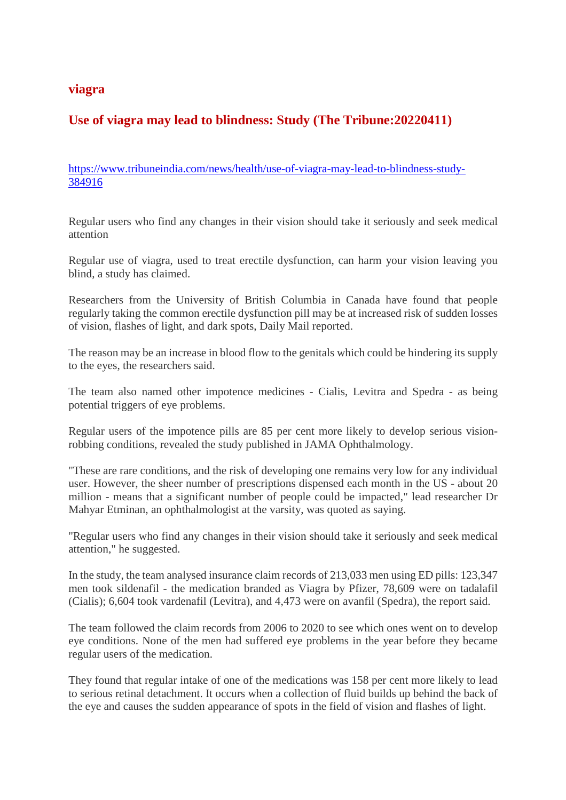### **viagra**

## **Use of viagra may lead to blindness: Study (The Tribune:20220411)**

https://www.tribuneindia.com/news/health/use-of-viagra-may-lead-to-blindness-study-384916

Regular users who find any changes in their vision should take it seriously and seek medical attention

Regular use of viagra, used to treat erectile dysfunction, can harm your vision leaving you blind, a study has claimed.

Researchers from the University of British Columbia in Canada have found that people regularly taking the common erectile dysfunction pill may be at increased risk of sudden losses of vision, flashes of light, and dark spots, Daily Mail reported.

The reason may be an increase in blood flow to the genitals which could be hindering its supply to the eyes, the researchers said.

The team also named other impotence medicines - Cialis, Levitra and Spedra - as being potential triggers of eye problems.

Regular users of the impotence pills are 85 per cent more likely to develop serious visionrobbing conditions, revealed the study published in JAMA Ophthalmology.

"These are rare conditions, and the risk of developing one remains very low for any individual user. However, the sheer number of prescriptions dispensed each month in the US - about 20 million - means that a significant number of people could be impacted," lead researcher Dr Mahyar Etminan, an ophthalmologist at the varsity, was quoted as saying.

"Regular users who find any changes in their vision should take it seriously and seek medical attention," he suggested.

In the study, the team analysed insurance claim records of 213,033 men using ED pills: 123,347 men took sildenafil - the medication branded as Viagra by Pfizer, 78,609 were on tadalafil (Cialis); 6,604 took vardenafil (Levitra), and 4,473 were on avanfil (Spedra), the report said.

The team followed the claim records from 2006 to 2020 to see which ones went on to develop eye conditions. None of the men had suffered eye problems in the year before they became regular users of the medication.

They found that regular intake of one of the medications was 158 per cent more likely to lead to serious retinal detachment. It occurs when a collection of fluid builds up behind the back of the eye and causes the sudden appearance of spots in the field of vision and flashes of light.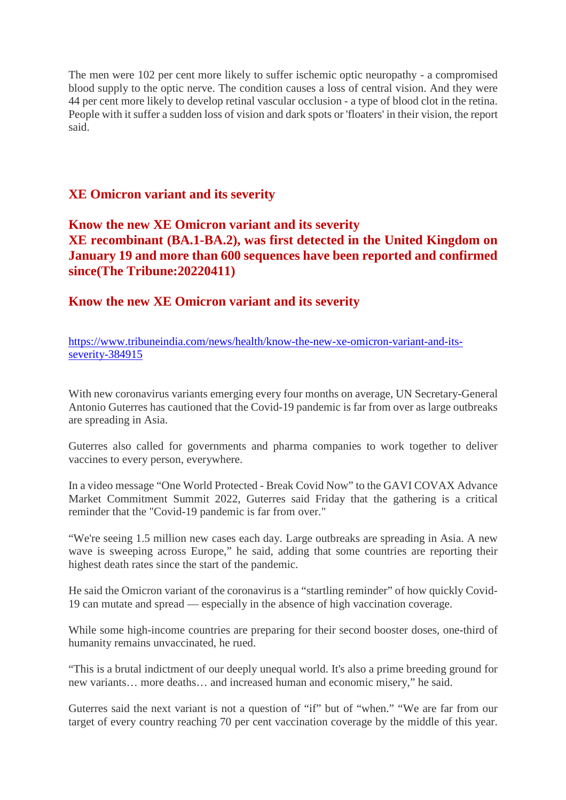The men were 102 per cent more likely to suffer ischemic optic neuropathy - a compromised blood supply to the optic nerve. The condition causes a loss of central vision. And they were 44 per cent more likely to develop retinal vascular occlusion - a type of blood clot in the retina. People with it suffer a sudden loss of vision and dark spots or 'floaters' in their vision, the report said.

## **XE Omicron variant and its severity**

**Know the new XE Omicron variant and its severity XE recombinant (BA.1-BA.2), was first detected in the United Kingdom on January 19 and more than 600 sequences have been reported and confirmed since(The Tribune:20220411)**

**Know the new XE Omicron variant and its severity**

https://www.tribuneindia.com/news/health/know-the-new-xe-omicron-variant-and-itsseverity-384915

With new coronavirus variants emerging every four months on average, UN Secretary-General Antonio Guterres has cautioned that the Covid-19 pandemic is far from over as large outbreaks are spreading in Asia.

Guterres also called for governments and pharma companies to work together to deliver vaccines to every person, everywhere.

In a video message "One World Protected - Break Covid Now" to the GAVI COVAX Advance Market Commitment Summit 2022, Guterres said Friday that the gathering is a critical reminder that the "Covid-19 pandemic is far from over."

"We're seeing 1.5 million new cases each day. Large outbreaks are spreading in Asia. A new wave is sweeping across Europe," he said, adding that some countries are reporting their highest death rates since the start of the pandemic.

He said the Omicron variant of the coronavirus is a "startling reminder" of how quickly Covid-19 can mutate and spread — especially in the absence of high vaccination coverage.

While some high-income countries are preparing for their second booster doses, one-third of humanity remains unvaccinated, he rued.

"This is a brutal indictment of our deeply unequal world. It's also a prime breeding ground for new variants… more deaths… and increased human and economic misery," he said.

Guterres said the next variant is not a question of "if" but of "when." "We are far from our target of every country reaching 70 per cent vaccination coverage by the middle of this year.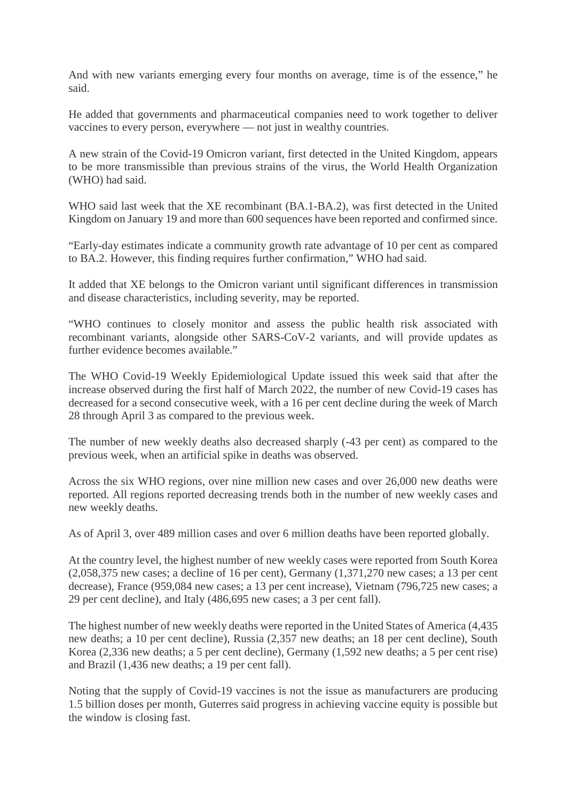And with new variants emerging every four months on average, time is of the essence," he said.

He added that governments and pharmaceutical companies need to work together to deliver vaccines to every person, everywhere — not just in wealthy countries.

A new strain of the Covid-19 Omicron variant, first detected in the United Kingdom, appears to be more transmissible than previous strains of the virus, the World Health Organization (WHO) had said.

WHO said last week that the XE recombinant (BA.1-BA.2), was first detected in the United Kingdom on January 19 and more than 600 sequences have been reported and confirmed since.

"Early-day estimates indicate a community growth rate advantage of 10 per cent as compared to BA.2. However, this finding requires further confirmation," WHO had said.

It added that XE belongs to the Omicron variant until significant differences in transmission and disease characteristics, including severity, may be reported.

"WHO continues to closely monitor and assess the public health risk associated with recombinant variants, alongside other SARS-CoV-2 variants, and will provide updates as further evidence becomes available."

The WHO Covid-19 Weekly Epidemiological Update issued this week said that after the increase observed during the first half of March 2022, the number of new Covid-19 cases has decreased for a second consecutive week, with a 16 per cent decline during the week of March 28 through April 3 as compared to the previous week.

The number of new weekly deaths also decreased sharply (-43 per cent) as compared to the previous week, when an artificial spike in deaths was observed.

Across the six WHO regions, over nine million new cases and over 26,000 new deaths were reported. All regions reported decreasing trends both in the number of new weekly cases and new weekly deaths.

As of April 3, over 489 million cases and over 6 million deaths have been reported globally.

At the country level, the highest number of new weekly cases were reported from South Korea (2,058,375 new cases; a decline of 16 per cent), Germany (1,371,270 new cases; a 13 per cent decrease), France (959,084 new cases; a 13 per cent increase), Vietnam (796,725 new cases; a 29 per cent decline), and Italy (486,695 new cases; a 3 per cent fall).

The highest number of new weekly deaths were reported in the United States of America (4,435 new deaths; a 10 per cent decline), Russia (2,357 new deaths; an 18 per cent decline), South Korea (2,336 new deaths; a 5 per cent decline), Germany (1,592 new deaths; a 5 per cent rise) and Brazil (1,436 new deaths; a 19 per cent fall).

Noting that the supply of Covid-19 vaccines is not the issue as manufacturers are producing 1.5 billion doses per month, Guterres said progress in achieving vaccine equity is possible but the window is closing fast.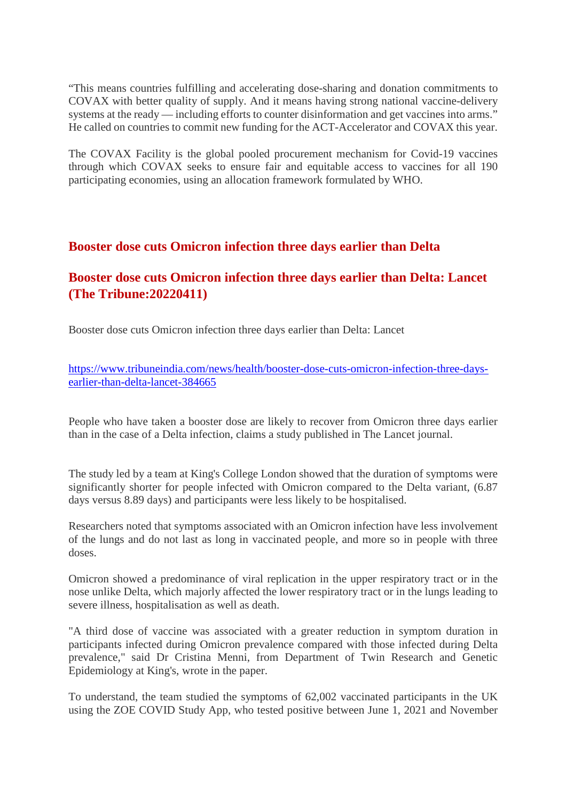"This means countries fulfilling and accelerating dose-sharing and donation commitments to COVAX with better quality of supply. And it means having strong national vaccine-delivery systems at the ready — including efforts to counter disinformation and get vaccines into arms." He called on countries to commit new funding for the ACT-Accelerator and COVAX this year.

The COVAX Facility is the global pooled procurement mechanism for Covid-19 vaccines through which COVAX seeks to ensure fair and equitable access to vaccines for all 190 participating economies, using an allocation framework formulated by WHO.

## **Booster dose cuts Omicron infection three days earlier than Delta**

## **Booster dose cuts Omicron infection three days earlier than Delta: Lancet (The Tribune:20220411)**

Booster dose cuts Omicron infection three days earlier than Delta: Lancet

https://www.tribuneindia.com/news/health/booster-dose-cuts-omicron-infection-three-daysearlier-than-delta-lancet-384665

People who have taken a booster dose are likely to recover from Omicron three days earlier than in the case of a Delta infection, claims a study published in The Lancet journal.

The study led by a team at King's College London showed that the duration of symptoms were significantly shorter for people infected with Omicron compared to the Delta variant, (6.87 days versus 8.89 days) and participants were less likely to be hospitalised.

Researchers noted that symptoms associated with an Omicron infection have less involvement of the lungs and do not last as long in vaccinated people, and more so in people with three doses.

Omicron showed a predominance of viral replication in the upper respiratory tract or in the nose unlike Delta, which majorly affected the lower respiratory tract or in the lungs leading to severe illness, hospitalisation as well as death.

"A third dose of vaccine was associated with a greater reduction in symptom duration in participants infected during Omicron prevalence compared with those infected during Delta prevalence," said Dr Cristina Menni, from Department of Twin Research and Genetic Epidemiology at King's, wrote in the paper.

To understand, the team studied the symptoms of 62,002 vaccinated participants in the UK using the ZOE COVID Study App, who tested positive between June 1, 2021 and November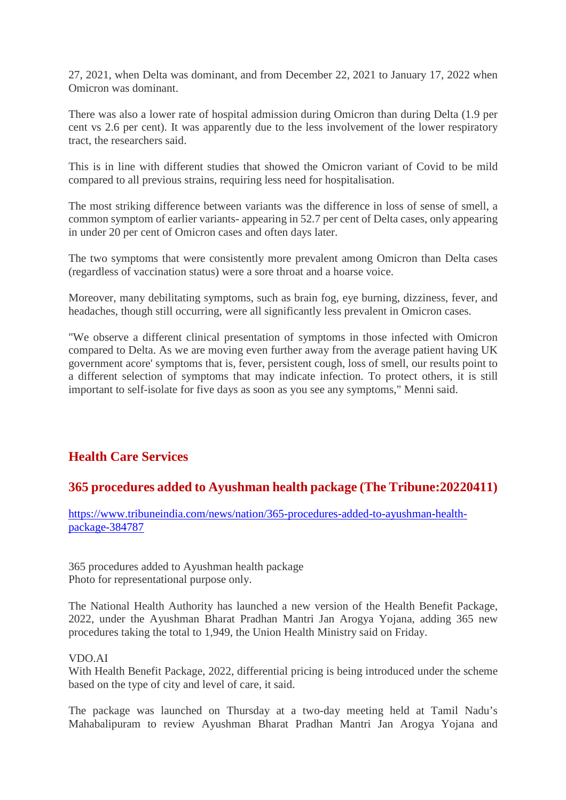27, 2021, when Delta was dominant, and from December 22, 2021 to January 17, 2022 when Omicron was dominant.

There was also a lower rate of hospital admission during Omicron than during Delta (1.9 per cent vs 2.6 per cent). It was apparently due to the less involvement of the lower respiratory tract, the researchers said.

This is in line with different studies that showed the Omicron variant of Covid to be mild compared to all previous strains, requiring less need for hospitalisation.

The most striking difference between variants was the difference in loss of sense of smell, a common symptom of earlier variants- appearing in 52.7 per cent of Delta cases, only appearing in under 20 per cent of Omicron cases and often days later.

The two symptoms that were consistently more prevalent among Omicron than Delta cases (regardless of vaccination status) were a sore throat and a hoarse voice.

Moreover, many debilitating symptoms, such as brain fog, eye burning, dizziness, fever, and headaches, though still occurring, were all significantly less prevalent in Omicron cases.

"We observe a different clinical presentation of symptoms in those infected with Omicron compared to Delta. As we are moving even further away from the average patient having UK government acore' symptoms that is, fever, persistent cough, loss of smell, our results point to a different selection of symptoms that may indicate infection. To protect others, it is still important to self-isolate for five days as soon as you see any symptoms," Menni said.

## **Health Care Services**

## **365 procedures added to Ayushman health package (The Tribune:20220411)**

https://www.tribuneindia.com/news/nation/365-procedures-added-to-ayushman-healthpackage-384787

365 procedures added to Ayushman health package Photo for representational purpose only.

The National Health Authority has launched a new version of the Health Benefit Package, 2022, under the Ayushman Bharat Pradhan Mantri Jan Arogya Yojana, adding 365 new procedures taking the total to 1,949, the Union Health Ministry said on Friday.

#### VDO.AI

With Health Benefit Package, 2022, differential pricing is being introduced under the scheme based on the type of city and level of care, it said.

The package was launched on Thursday at a two-day meeting held at Tamil Nadu's Mahabalipuram to review Ayushman Bharat Pradhan Mantri Jan Arogya Yojana and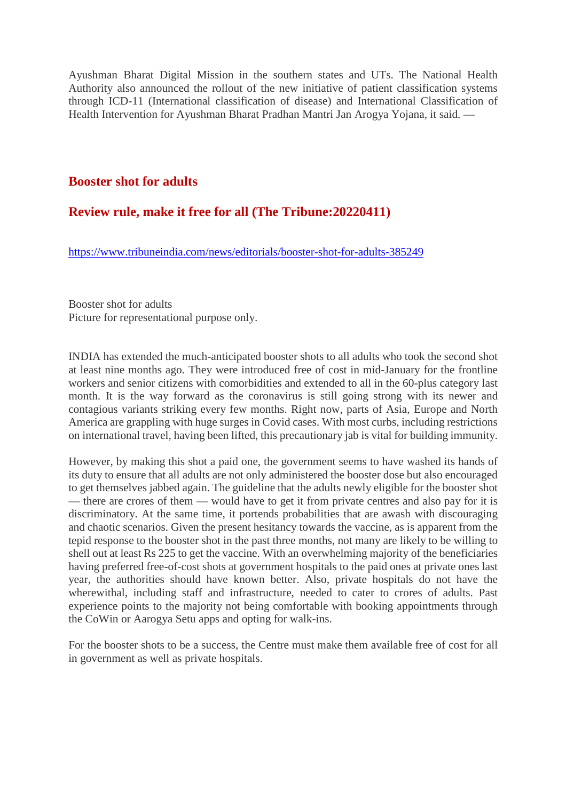Ayushman Bharat Digital Mission in the southern states and UTs. The National Health Authority also announced the rollout of the new initiative of patient classification systems through ICD-11 (International classification of disease) and International Classification of Health Intervention for Ayushman Bharat Pradhan Mantri Jan Arogya Yojana, it said. —

### **Booster shot for adults**

## **Review rule, make it free for all (The Tribune:20220411)**

https://www.tribuneindia.com/news/editorials/booster-shot-for-adults-385249

Booster shot for adults Picture for representational purpose only.

INDIA has extended the much-anticipated booster shots to all adults who took the second shot at least nine months ago. They were introduced free of cost in mid-January for the frontline workers and senior citizens with comorbidities and extended to all in the 60-plus category last month. It is the way forward as the coronavirus is still going strong with its newer and contagious variants striking every few months. Right now, parts of Asia, Europe and North America are grappling with huge surges in Covid cases. With most curbs, including restrictions on international travel, having been lifted, this precautionary jab is vital for building immunity.

However, by making this shot a paid one, the government seems to have washed its hands of its duty to ensure that all adults are not only administered the booster dose but also encouraged to get themselves jabbed again. The guideline that the adults newly eligible for the booster shot — there are crores of them — would have to get it from private centres and also pay for it is discriminatory. At the same time, it portends probabilities that are awash with discouraging and chaotic scenarios. Given the present hesitancy towards the vaccine, as is apparent from the tepid response to the booster shot in the past three months, not many are likely to be willing to shell out at least Rs 225 to get the vaccine. With an overwhelming majority of the beneficiaries having preferred free-of-cost shots at government hospitals to the paid ones at private ones last year, the authorities should have known better. Also, private hospitals do not have the wherewithal, including staff and infrastructure, needed to cater to crores of adults. Past experience points to the majority not being comfortable with booking appointments through the CoWin or Aarogya Setu apps and opting for walk-ins.

For the booster shots to be a success, the Centre must make them available free of cost for all in government as well as private hospitals.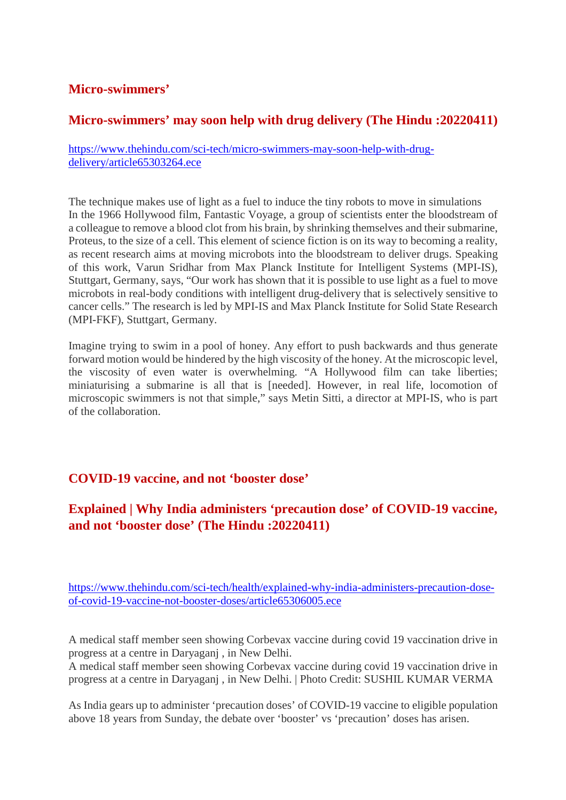## **Micro-swimmers'**

## **Micro-swimmers' may soon help with drug delivery (The Hindu :20220411)**

https://www.thehindu.com/sci-tech/micro-swimmers-may-soon-help-with-drugdelivery/article65303264.ece

The technique makes use of light as a fuel to induce the tiny robots to move in simulations In the 1966 Hollywood film, Fantastic Voyage, a group of scientists enter the bloodstream of a colleague to remove a blood clot from his brain, by shrinking themselves and their submarine, Proteus, to the size of a cell. This element of science fiction is on its way to becoming a reality, as recent research aims at moving microbots into the bloodstream to deliver drugs. Speaking of this work, Varun Sridhar from Max Planck Institute for Intelligent Systems (MPI-IS), Stuttgart, Germany, says, "Our work has shown that it is possible to use light as a fuel to move microbots in real-body conditions with intelligent drug-delivery that is selectively sensitive to cancer cells." The research is led by MPI-IS and Max Planck Institute for Solid State Research (MPI-FKF), Stuttgart, Germany.

Imagine trying to swim in a pool of honey. Any effort to push backwards and thus generate forward motion would be hindered by the high viscosity of the honey. At the microscopic level, the viscosity of even water is overwhelming. "A Hollywood film can take liberties; miniaturising a submarine is all that is [needed]. However, in real life, locomotion of microscopic swimmers is not that simple," says Metin Sitti, a director at MPI-IS, who is part of the collaboration.

## **COVID-19 vaccine, and not 'booster dose'**

## **Explained | Why India administers 'precaution dose' of COVID-19 vaccine, and not 'booster dose' (The Hindu :20220411)**

https://www.thehindu.com/sci-tech/health/explained-why-india-administers-precaution-doseof-covid-19-vaccine-not-booster-doses/article65306005.ece

A medical staff member seen showing Corbevax vaccine during covid 19 vaccination drive in progress at a centre in Daryaganj , in New Delhi.

A medical staff member seen showing Corbevax vaccine during covid 19 vaccination drive in progress at a centre in Daryaganj , in New Delhi. | Photo Credit: SUSHIL KUMAR VERMA

As India gears up to administer 'precaution doses' of COVID-19 vaccine to eligible population above 18 years from Sunday, the debate over 'booster' vs 'precaution' doses has arisen.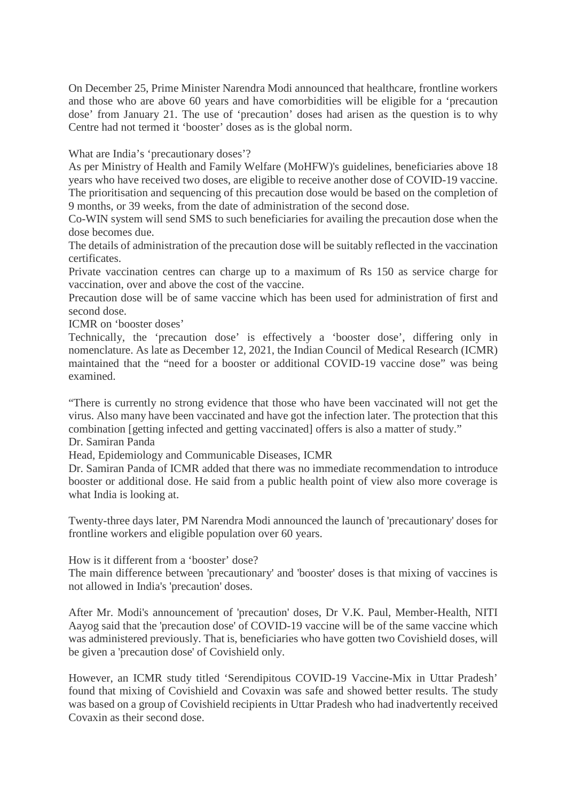On December 25, Prime Minister Narendra Modi announced that healthcare, frontline workers and those who are above 60 years and have comorbidities will be eligible for a 'precaution dose' from January 21. The use of 'precaution' doses had arisen as the question is to why Centre had not termed it 'booster' doses as is the global norm.

What are India's 'precautionary doses'?

As per Ministry of Health and Family Welfare (MoHFW)'s guidelines, beneficiaries above 18 years who have received two doses, are eligible to receive another dose of COVID-19 vaccine. The prioritisation and sequencing of this precaution dose would be based on the completion of 9 months, or 39 weeks, from the date of administration of the second dose.

Co-WIN system will send SMS to such beneficiaries for availing the precaution dose when the dose becomes due.

The details of administration of the precaution dose will be suitably reflected in the vaccination certificates.

Private vaccination centres can charge up to a maximum of Rs 150 as service charge for vaccination, over and above the cost of the vaccine.

Precaution dose will be of same vaccine which has been used for administration of first and second dose.

ICMR on 'booster doses'

Technically, the 'precaution dose' is effectively a 'booster dose', differing only in nomenclature. As late as December 12, 2021, the Indian Council of Medical Research (ICMR) maintained that the "need for a booster or additional COVID-19 vaccine dose" was being examined.

"There is currently no strong evidence that those who have been vaccinated will not get the virus. Also many have been vaccinated and have got the infection later. The protection that this combination [getting infected and getting vaccinated] offers is also a matter of study."

Dr. Samiran Panda

Head, Epidemiology and Communicable Diseases, ICMR

Dr. Samiran Panda of ICMR added that there was no immediate recommendation to introduce booster or additional dose. He said from a public health point of view also more coverage is what India is looking at.

Twenty-three days later, PM Narendra Modi announced the launch of 'precautionary' doses for frontline workers and eligible population over 60 years.

How is it different from a 'booster' dose?

The main difference between 'precautionary' and 'booster' doses is that mixing of vaccines is not allowed in India's 'precaution' doses.

After Mr. Modi's announcement of 'precaution' doses, Dr V.K. Paul, Member-Health, NITI Aayog said that the 'precaution dose' of COVID-19 vaccine will be of the same vaccine which was administered previously. That is, beneficiaries who have gotten two Covishield doses, will be given a 'precaution dose' of Covishield only.

However, an ICMR study titled 'Serendipitous COVID-19 Vaccine-Mix in Uttar Pradesh' found that mixing of Covishield and Covaxin was safe and showed better results. The study was based on a group of Covishield recipients in Uttar Pradesh who had inadvertently received Covaxin as their second dose.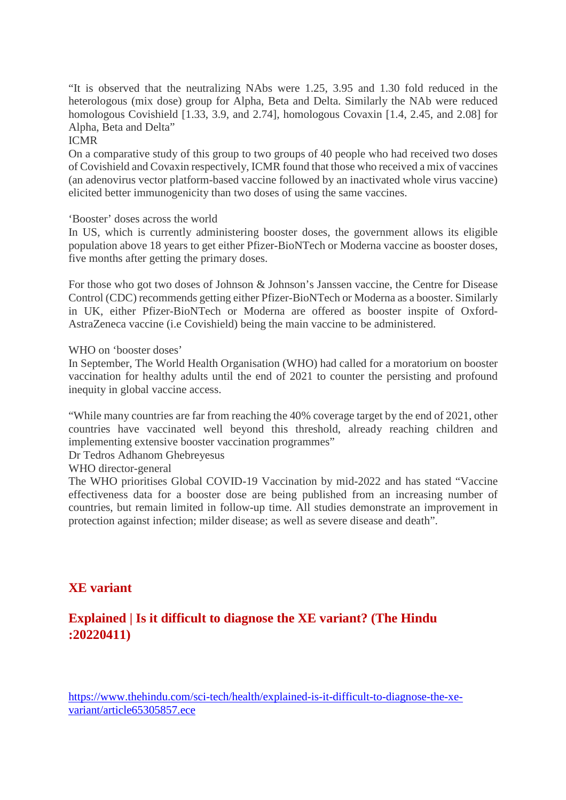"It is observed that the neutralizing NAbs were 1.25, 3.95 and 1.30 fold reduced in the heterologous (mix dose) group for Alpha, Beta and Delta. Similarly the NAb were reduced homologous Covishield [1.33, 3.9, and 2.74], homologous Covaxin [1.4, 2.45, and 2.08] for Alpha, Beta and Delta"

#### ICMR

On a comparative study of this group to two groups of 40 people who had received two doses of Covishield and Covaxin respectively, ICMR found that those who received a mix of vaccines (an adenovirus vector platform-based vaccine followed by an inactivated whole virus vaccine) elicited better immunogenicity than two doses of using the same vaccines.

'Booster' doses across the world

In US, which is currently administering booster doses, the government allows its eligible population above 18 years to get either Pfizer-BioNTech or Moderna vaccine as booster doses, five months after getting the primary doses.

For those who got two doses of Johnson & Johnson's Janssen vaccine, the Centre for Disease Control (CDC) recommends getting either Pfizer-BioNTech or Moderna as a booster. Similarly in UK, either Pfizer-BioNTech or Moderna are offered as booster inspite of Oxford-AstraZeneca vaccine (i.e Covishield) being the main vaccine to be administered.

WHO on 'booster doses'

In September, The World Health Organisation (WHO) had called for a moratorium on booster vaccination for healthy adults until the end of 2021 to counter the persisting and profound inequity in global vaccine access.

"While many countries are far from reaching the 40% coverage target by the end of 2021, other countries have vaccinated well beyond this threshold, already reaching children and implementing extensive booster vaccination programmes"

Dr Tedros Adhanom Ghebreyesus

WHO director-general

The WHO prioritises Global COVID-19 Vaccination by mid-2022 and has stated "Vaccine effectiveness data for a booster dose are being published from an increasing number of countries, but remain limited in follow-up time. All studies demonstrate an improvement in protection against infection; milder disease; as well as severe disease and death".

## **XE variant**

## **Explained | Is it difficult to diagnose the XE variant? (The Hindu :20220411)**

https://www.thehindu.com/sci-tech/health/explained-is-it-difficult-to-diagnose-the-xevariant/article65305857.ece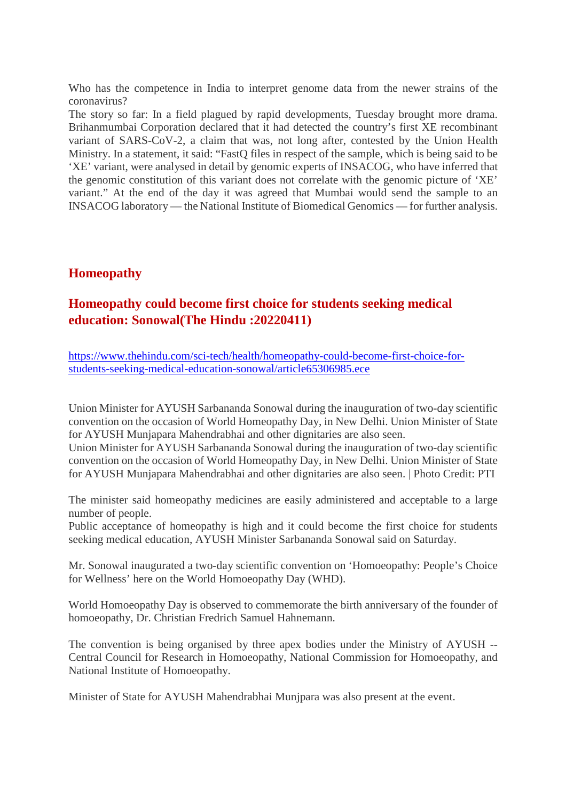Who has the competence in India to interpret genome data from the newer strains of the coronavirus?

The story so far: In a field plagued by rapid developments, Tuesday brought more drama. Brihanmumbai Corporation declared that it had detected the country's first XE recombinant variant of SARS-CoV-2, a claim that was, not long after, contested by the Union Health Ministry. In a statement, it said: "FastQ files in respect of the sample, which is being said to be 'XE' variant, were analysed in detail by genomic experts of INSACOG, who have inferred that the genomic constitution of this variant does not correlate with the genomic picture of 'XE' variant." At the end of the day it was agreed that Mumbai would send the sample to an INSACOG laboratory — the National Institute of Biomedical Genomics — for further analysis.

## **Homeopathy**

## **Homeopathy could become first choice for students seeking medical education: Sonowal(The Hindu :20220411)**

https://www.thehindu.com/sci-tech/health/homeopathy-could-become-first-choice-forstudents-seeking-medical-education-sonowal/article65306985.ece

Union Minister for AYUSH Sarbananda Sonowal during the inauguration of two-day scientific convention on the occasion of World Homeopathy Day, in New Delhi. Union Minister of State for AYUSH Munjapara Mahendrabhai and other dignitaries are also seen.

Union Minister for AYUSH Sarbananda Sonowal during the inauguration of two-day scientific convention on the occasion of World Homeopathy Day, in New Delhi. Union Minister of State for AYUSH Munjapara Mahendrabhai and other dignitaries are also seen. | Photo Credit: PTI

The minister said homeopathy medicines are easily administered and acceptable to a large number of people.

Public acceptance of homeopathy is high and it could become the first choice for students seeking medical education, AYUSH Minister Sarbananda Sonowal said on Saturday.

Mr. Sonowal inaugurated a two-day scientific convention on 'Homoeopathy: People's Choice for Wellness' here on the World Homoeopathy Day (WHD).

World Homoeopathy Day is observed to commemorate the birth anniversary of the founder of homoeopathy, Dr. Christian Fredrich Samuel Hahnemann.

The convention is being organised by three apex bodies under the Ministry of AYUSH -- Central Council for Research in Homoeopathy, National Commission for Homoeopathy, and National Institute of Homoeopathy.

Minister of State for AYUSH Mahendrabhai Munjpara was also present at the event.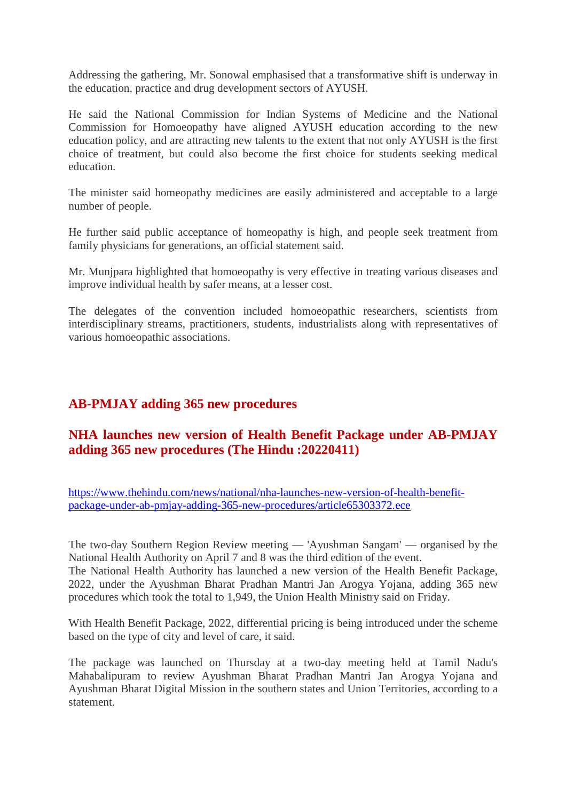Addressing the gathering, Mr. Sonowal emphasised that a transformative shift is underway in the education, practice and drug development sectors of AYUSH.

He said the National Commission for Indian Systems of Medicine and the National Commission for Homoeopathy have aligned AYUSH education according to the new education policy, and are attracting new talents to the extent that not only AYUSH is the first choice of treatment, but could also become the first choice for students seeking medical education.

The minister said homeopathy medicines are easily administered and acceptable to a large number of people.

He further said public acceptance of homeopathy is high, and people seek treatment from family physicians for generations, an official statement said.

Mr. Munjpara highlighted that homoeopathy is very effective in treating various diseases and improve individual health by safer means, at a lesser cost.

The delegates of the convention included homoeopathic researchers, scientists from interdisciplinary streams, practitioners, students, industrialists along with representatives of various homoeopathic associations.

## **AB-PMJAY adding 365 new procedures**

## **NHA launches new version of Health Benefit Package under AB-PMJAY adding 365 new procedures (The Hindu :20220411)**

https://www.thehindu.com/news/national/nha-launches-new-version-of-health-benefitpackage-under-ab-pmjay-adding-365-new-procedures/article65303372.ece

The two-day Southern Region Review meeting — 'Ayushman Sangam' — organised by the National Health Authority on April 7 and 8 was the third edition of the event. The National Health Authority has launched a new version of the Health Benefit Package, 2022, under the Ayushman Bharat Pradhan Mantri Jan Arogya Yojana, adding 365 new procedures which took the total to 1,949, the Union Health Ministry said on Friday.

With Health Benefit Package, 2022, differential pricing is being introduced under the scheme based on the type of city and level of care, it said.

The package was launched on Thursday at a two-day meeting held at Tamil Nadu's Mahabalipuram to review Ayushman Bharat Pradhan Mantri Jan Arogya Yojana and Ayushman Bharat Digital Mission in the southern states and Union Territories, according to a statement.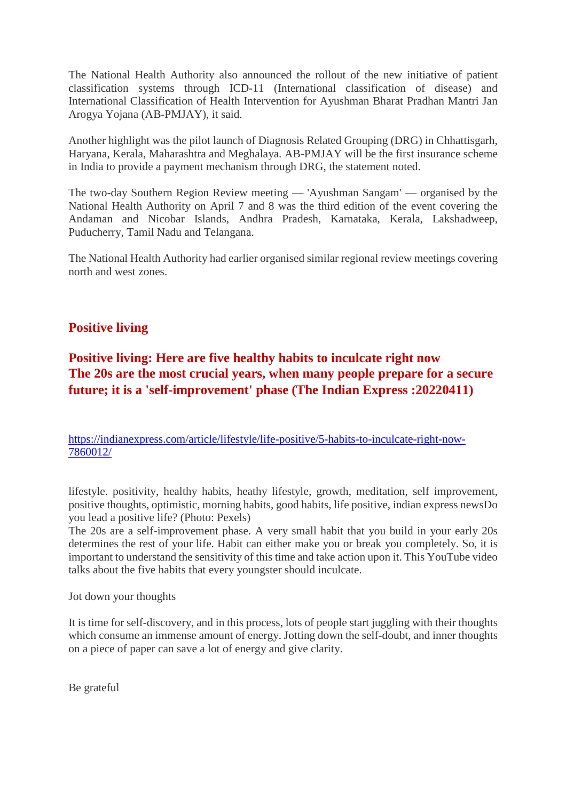The National Health Authority also announced the rollout of the new initiative of patient classification systems through ICD-11 (International classification of disease) and International Classification of Health Intervention for Ayushman Bharat Pradhan Mantri Jan Arogya Yojana (AB-PMJAY), it said.

Another highlight was the pilot launch of Diagnosis Related Grouping (DRG) in Chhattisgarh, Haryana, Kerala, Maharashtra and Meghalaya. AB-PMJAY will be the first insurance scheme in India to provide a payment mechanism through DRG, the statement noted.

The two-day Southern Region Review meeting — 'Ayushman Sangam' — organised by the National Health Authority on April 7 and 8 was the third edition of the event covering the Andaman and Nicobar Islands, Andhra Pradesh, Karnataka, Kerala, Lakshadweep, Puducherry, Tamil Nadu and Telangana.

The National Health Authority had earlier organised similar regional review meetings covering north and west zones.

## **Positive living**

## **Positive living: Here are five healthy habits to inculcate right now The 20s are the most crucial years, when many people prepare for a secure future; it is a 'self-improvement' phase (The Indian Express :20220411)**

https://indianexpress.com/article/lifestyle/life-positive/5-habits-to-inculcate-right-now-7860012/

lifestyle. positivity, healthy habits, heathy lifestyle, growth, meditation, self improvement, positive thoughts, optimistic, morning habits, good habits, life positive, indian express newsDo you lead a positive life? (Photo: Pexels)

The 20s are a self-improvement phase. A very small habit that you build in your early 20s determines the rest of your life. Habit can either make you or break you completely. So, it is important to understand the sensitivity of this time and take action upon it. This YouTube video talks about the five habits that every youngster should inculcate.

Jot down your thoughts

It is time for self-discovery, and in this process, lots of people start juggling with their thoughts which consume an immense amount of energy. Jotting down the self-doubt, and inner thoughts on a piece of paper can save a lot of energy and give clarity.

Be grateful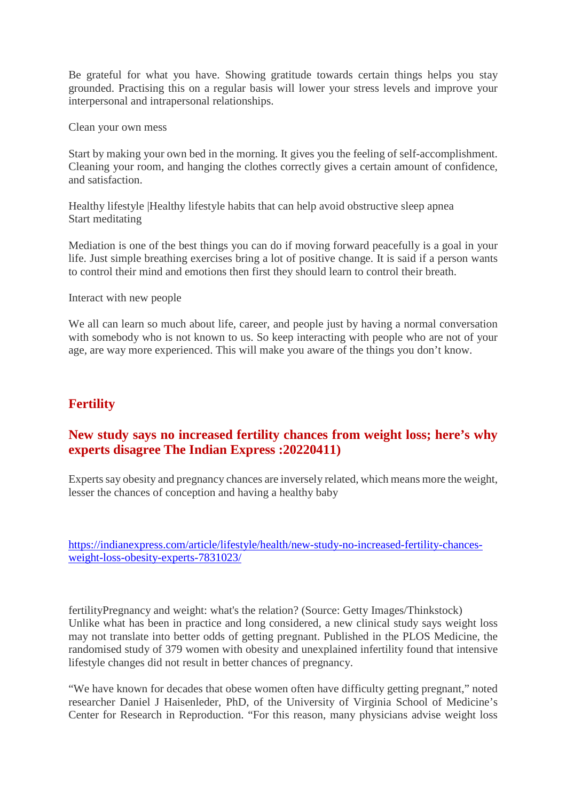Be grateful for what you have. Showing gratitude towards certain things helps you stay grounded. Practising this on a regular basis will lower your stress levels and improve your interpersonal and intrapersonal relationships.

Clean your own mess

Start by making your own bed in the morning. It gives you the feeling of self-accomplishment. Cleaning your room, and hanging the clothes correctly gives a certain amount of confidence, and satisfaction.

Healthy lifestyle |Healthy lifestyle habits that can help avoid obstructive sleep apnea Start meditating

Mediation is one of the best things you can do if moving forward peacefully is a goal in your life. Just simple breathing exercises bring a lot of positive change. It is said if a person wants to control their mind and emotions then first they should learn to control their breath.

Interact with new people

We all can learn so much about life, career, and people just by having a normal conversation with somebody who is not known to us. So keep interacting with people who are not of your age, are way more experienced. This will make you aware of the things you don't know.

## **Fertility**

## **New study says no increased fertility chances from weight loss; here's why experts disagree The Indian Express :20220411)**

Experts say obesity and pregnancy chances are inversely related, which means more the weight, lesser the chances of conception and having a healthy baby

https://indianexpress.com/article/lifestyle/health/new-study-no-increased-fertility-chancesweight-loss-obesity-experts-7831023/

fertilityPregnancy and weight: what's the relation? (Source: Getty Images/Thinkstock) Unlike what has been in practice and long considered, a new clinical study says weight loss may not translate into better odds of getting pregnant. Published in the PLOS Medicine, the randomised study of 379 women with obesity and unexplained infertility found that intensive lifestyle changes did not result in better chances of pregnancy.

"We have known for decades that obese women often have difficulty getting pregnant," noted researcher Daniel J Haisenleder, PhD, of the University of Virginia School of Medicine's Center for Research in Reproduction. "For this reason, many physicians advise weight loss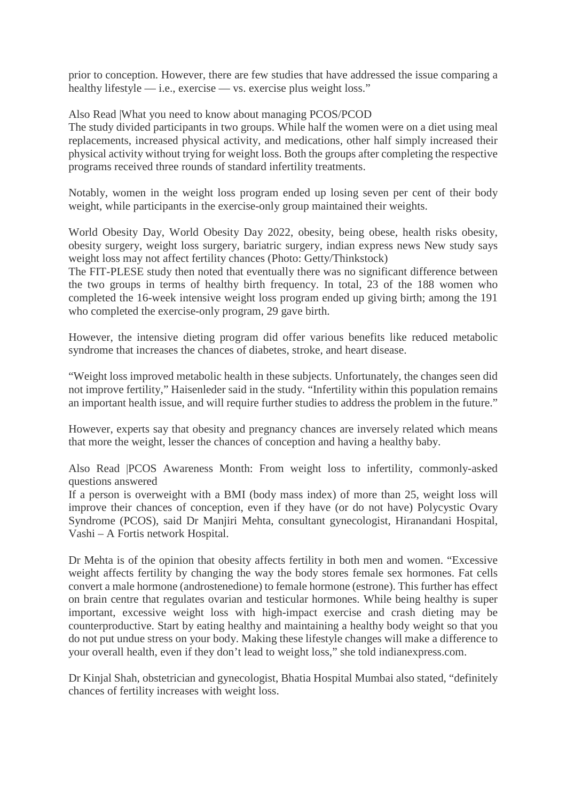prior to conception. However, there are few studies that have addressed the issue comparing a healthy lifestyle — i.e., exercise — vs. exercise plus weight loss."

Also Read |What you need to know about managing PCOS/PCOD

The study divided participants in two groups. While half the women were on a diet using meal replacements, increased physical activity, and medications, other half simply increased their physical activity without trying for weight loss. Both the groups after completing the respective programs received three rounds of standard infertility treatments.

Notably, women in the weight loss program ended up losing seven per cent of their body weight, while participants in the exercise-only group maintained their weights.

World Obesity Day, World Obesity Day 2022, obesity, being obese, health risks obesity, obesity surgery, weight loss surgery, bariatric surgery, indian express news New study says weight loss may not affect fertility chances (Photo: Getty/Thinkstock)

The FIT-PLESE study then noted that eventually there was no significant difference between the two groups in terms of healthy birth frequency. In total, 23 of the 188 women who completed the 16-week intensive weight loss program ended up giving birth; among the 191 who completed the exercise-only program, 29 gave birth.

However, the intensive dieting program did offer various benefits like reduced metabolic syndrome that increases the chances of diabetes, stroke, and heart disease.

"Weight loss improved metabolic health in these subjects. Unfortunately, the changes seen did not improve fertility," Haisenleder said in the study. "Infertility within this population remains an important health issue, and will require further studies to address the problem in the future."

However, experts say that obesity and pregnancy chances are inversely related which means that more the weight, lesser the chances of conception and having a healthy baby.

Also Read |PCOS Awareness Month: From weight loss to infertility, commonly-asked questions answered

If a person is overweight with a BMI (body mass index) of more than 25, weight loss will improve their chances of conception, even if they have (or do not have) Polycystic Ovary Syndrome (PCOS), said Dr Manjiri Mehta, consultant gynecologist, Hiranandani Hospital, Vashi – A Fortis network Hospital.

Dr Mehta is of the opinion that obesity affects fertility in both men and women. "Excessive weight affects fertility by changing the way the body stores female sex hormones. Fat cells convert a male hormone (androstenedione) to female hormone (estrone). This further has effect on brain centre that regulates ovarian and testicular hormones. While being healthy is super important, excessive weight loss with high-impact exercise and crash dieting may be counterproductive. Start by eating healthy and maintaining a healthy body weight so that you do not put undue stress on your body. Making these lifestyle changes will make a difference to your overall health, even if they don't lead to weight loss," she told indianexpress.com.

Dr Kinjal Shah, obstetrician and gynecologist, Bhatia Hospital Mumbai also stated, "definitely chances of fertility increases with weight loss.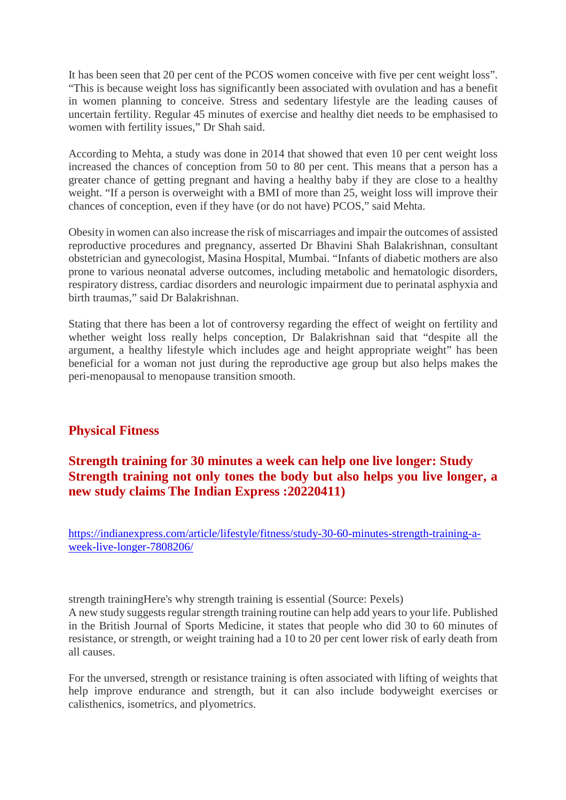It has been seen that 20 per cent of the PCOS women conceive with five per cent weight loss". "This is because weight loss has significantly been associated with ovulation and has a benefit in women planning to conceive. Stress and sedentary lifestyle are the leading causes of uncertain fertility. Regular 45 minutes of exercise and healthy diet needs to be emphasised to women with fertility issues," Dr Shah said.

According to Mehta, a study was done in 2014 that showed that even 10 per cent weight loss increased the chances of conception from 50 to 80 per cent. This means that a person has a greater chance of getting pregnant and having a healthy baby if they are close to a healthy weight. "If a person is overweight with a BMI of more than 25, weight loss will improve their chances of conception, even if they have (or do not have) PCOS," said Mehta.

Obesity in women can also increase the risk of miscarriages and impair the outcomes of assisted reproductive procedures and pregnancy, asserted Dr Bhavini Shah Balakrishnan, consultant obstetrician and gynecologist, Masina Hospital, Mumbai. "Infants of diabetic mothers are also prone to various neonatal adverse outcomes, including metabolic and hematologic disorders, respiratory distress, cardiac disorders and neurologic impairment due to perinatal asphyxia and birth traumas," said Dr Balakrishnan.

Stating that there has been a lot of controversy regarding the effect of weight on fertility and whether weight loss really helps conception, Dr Balakrishnan said that "despite all the argument, a healthy lifestyle which includes age and height appropriate weight" has been beneficial for a woman not just during the reproductive age group but also helps makes the peri-menopausal to menopause transition smooth.

## **Physical Fitness**

## **Strength training for 30 minutes a week can help one live longer: Study Strength training not only tones the body but also helps you live longer, a new study claims The Indian Express :20220411)**

https://indianexpress.com/article/lifestyle/fitness/study-30-60-minutes-strength-training-aweek-live-longer-7808206/

strength trainingHere's why strength training is essential (Source: Pexels) A new study suggests regular strength training routine can help add years to your life. Published in the British Journal of Sports Medicine, it states that people who did 30 to 60 minutes of resistance, or strength, or weight training had a 10 to 20 per cent lower risk of early death from all causes.

For the unversed, strength or resistance training is often associated with lifting of weights that help improve endurance and strength, but it can also include bodyweight exercises or calisthenics, isometrics, and plyometrics.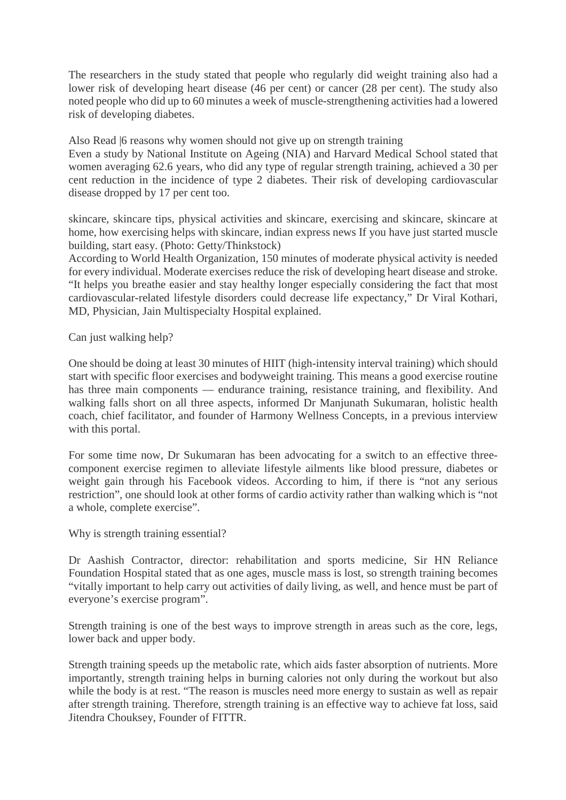The researchers in the study stated that people who regularly did weight training also had a lower risk of developing heart disease (46 per cent) or cancer (28 per cent). The study also noted people who did up to 60 minutes a week of muscle-strengthening activities had a lowered risk of developing diabetes.

Also Read |6 reasons why women should not give up on strength training

Even a study by National Institute on Ageing (NIA) and Harvard Medical School stated that women averaging 62.6 years, who did any type of regular strength training, achieved a 30 per cent reduction in the incidence of type 2 diabetes. Their risk of developing cardiovascular disease dropped by 17 per cent too.

skincare, skincare tips, physical activities and skincare, exercising and skincare, skincare at home, how exercising helps with skincare, indian express news If you have just started muscle building, start easy. (Photo: Getty/Thinkstock)

According to World Health Organization, 150 minutes of moderate physical activity is needed for every individual. Moderate exercises reduce the risk of developing heart disease and stroke. "It helps you breathe easier and stay healthy longer especially considering the fact that most cardiovascular-related lifestyle disorders could decrease life expectancy," Dr Viral Kothari, MD, Physician, Jain Multispecialty Hospital explained.

Can just walking help?

One should be doing at least 30 minutes of HIIT (high-intensity interval training) which should start with specific floor exercises and bodyweight training. This means a good exercise routine has three main components — endurance training, resistance training, and flexibility. And walking falls short on all three aspects, informed Dr Manjunath Sukumaran, holistic health coach, chief facilitator, and founder of Harmony Wellness Concepts, in a previous interview with this portal.

For some time now, Dr Sukumaran has been advocating for a switch to an effective threecomponent exercise regimen to alleviate lifestyle ailments like blood pressure, diabetes or weight gain through his Facebook videos. According to him, if there is "not any serious restriction", one should look at other forms of cardio activity rather than walking which is "not a whole, complete exercise".

Why is strength training essential?

Dr Aashish Contractor, director: rehabilitation and sports medicine, Sir HN Reliance Foundation Hospital stated that as one ages, muscle mass is lost, so strength training becomes "vitally important to help carry out activities of daily living, as well, and hence must be part of everyone's exercise program".

Strength training is one of the best ways to improve strength in areas such as the core, legs, lower back and upper body.

Strength training speeds up the metabolic rate, which aids faster absorption of nutrients. More importantly, strength training helps in burning calories not only during the workout but also while the body is at rest. "The reason is muscles need more energy to sustain as well as repair after strength training. Therefore, strength training is an effective way to achieve fat loss, said Jitendra Chouksey, Founder of FITTR.